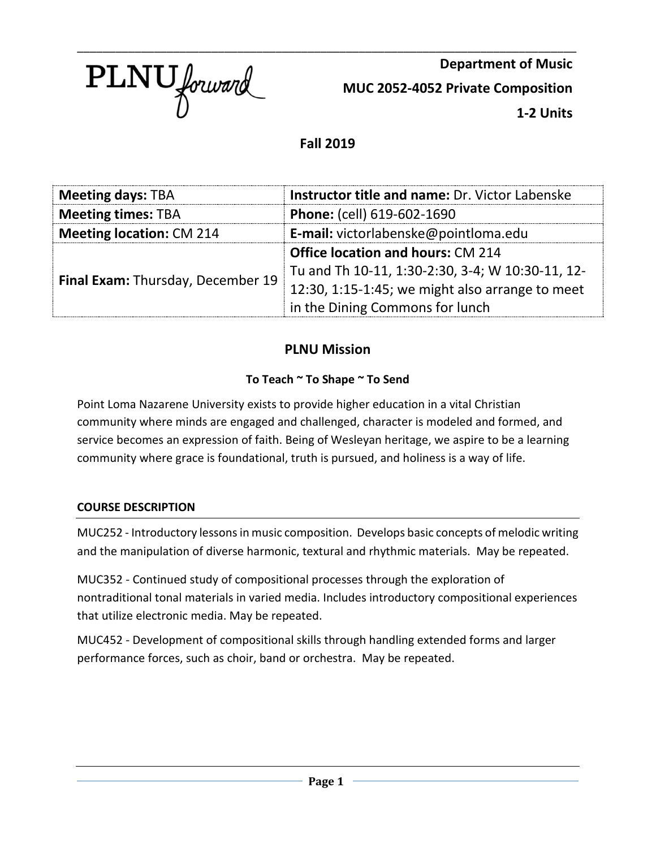

**Department of Music MUC 2052-4052 Private Composition 1-2 Units**

# **Fall 2019**

\_\_\_\_\_\_\_\_\_\_\_\_\_\_\_\_\_\_\_\_\_\_\_\_\_\_\_\_\_\_\_\_\_\_\_\_\_\_\_\_\_\_\_\_\_\_\_\_\_\_\_\_\_\_\_\_\_\_\_\_\_\_\_\_\_\_\_\_\_\_\_\_\_\_\_\_\_\_

| <b>Meeting days: TBA</b>          | Instructor title and name: Dr. Victor Labenske   |  |
|-----------------------------------|--------------------------------------------------|--|
| <b>Meeting times: TBA</b>         | Phone: (cell) 619-602-1690                       |  |
| <b>Meeting location: CM 214</b>   | <b>E-mail:</b> victorlabenske@pointloma.edu      |  |
| Final Exam: Thursday, December 19 | <b>Office location and hours: CM 214</b>         |  |
|                                   | Tu and Th 10-11, 1:30-2:30, 3-4; W 10:30-11, 12- |  |
|                                   | 12:30, 1:15-1:45; we might also arrange to meet  |  |
|                                   | in the Dining Commons for lunch                  |  |

# **PLNU Mission**

## **To Teach ~ To Shape ~ To Send**

Point Loma Nazarene University exists to provide higher education in a vital Christian community where minds are engaged and challenged, character is modeled and formed, and service becomes an expression of faith. Being of Wesleyan heritage, we aspire to be a learning community where grace is foundational, truth is pursued, and holiness is a way of life.

## **COURSE DESCRIPTION**

MUC252 - Introductory lessons in music composition. Develops basic concepts of melodic writing and the manipulation of diverse harmonic, textural and rhythmic materials. May be repeated.

MUC352 - Continued study of compositional processes through the exploration of nontraditional tonal materials in varied media. Includes introductory compositional experiences that utilize electronic media. May be repeated.

MUC452 - Development of compositional skills through handling extended forms and larger performance forces, such as choir, band or orchestra. May be repeated.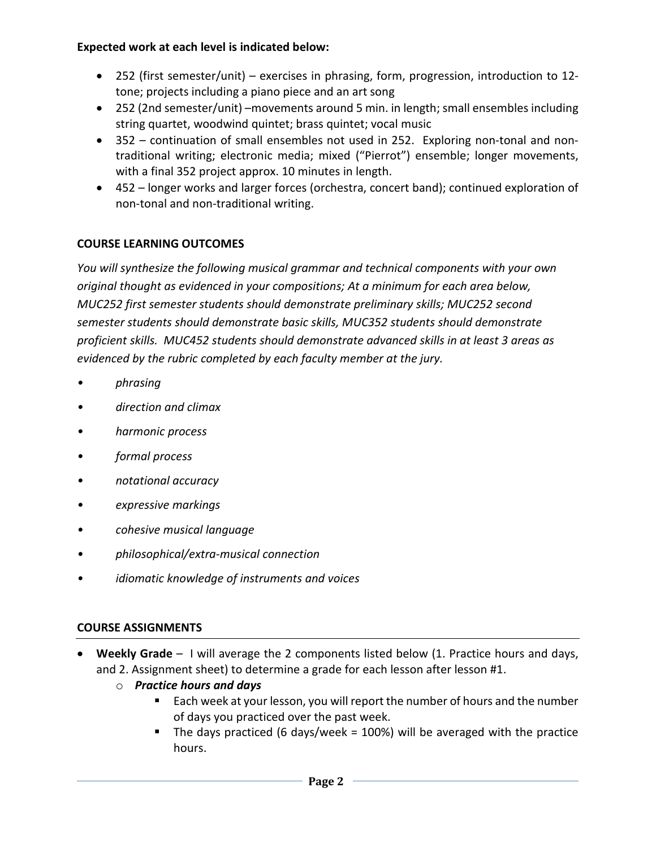### **Expected work at each level is indicated below:**

- 252 (first semester/unit) exercises in phrasing, form, progression, introduction to 12 tone; projects including a piano piece and an art song
- 252 (2nd semester/unit) –movements around 5 min. in length; small ensembles including string quartet, woodwind quintet; brass quintet; vocal music
- 352 continuation of small ensembles not used in 252. Exploring non-tonal and nontraditional writing; electronic media; mixed ("Pierrot") ensemble; longer movements, with a final 352 project approx. 10 minutes in length.
- 452 longer works and larger forces (orchestra, concert band); continued exploration of non-tonal and non-traditional writing.

# **COURSE LEARNING OUTCOMES**

*You will synthesize the following musical grammar and technical components with your own original thought as evidenced in your compositions; At a minimum for each area below, MUC252 first semester students should demonstrate preliminary skills; MUC252 second semester students should demonstrate basic skills, MUC352 students should demonstrate proficient skills. MUC452 students should demonstrate advanced skills in at least 3 areas as evidenced by the rubric completed by each faculty member at the jury.*

- *• phrasing*
- *• direction and climax*
- *• harmonic process*
- *• formal process*
- *• notational accuracy*
- *• expressive markings*
- *• cohesive musical language*
- *• philosophical/extra-musical connection*
- *• idiomatic knowledge of instruments and voices*

## **COURSE ASSIGNMENTS**

- **Weekly Grade** I will average the 2 components listed below (1. Practice hours and days, and 2. Assignment sheet) to determine a grade for each lesson after lesson #1.
	- o *Practice hours and days* 
		- Each week at your lesson, you will report the number of hours and the number of days you practiced over the past week.
		- The days practiced (6 days/week = 100%) will be averaged with the practice hours.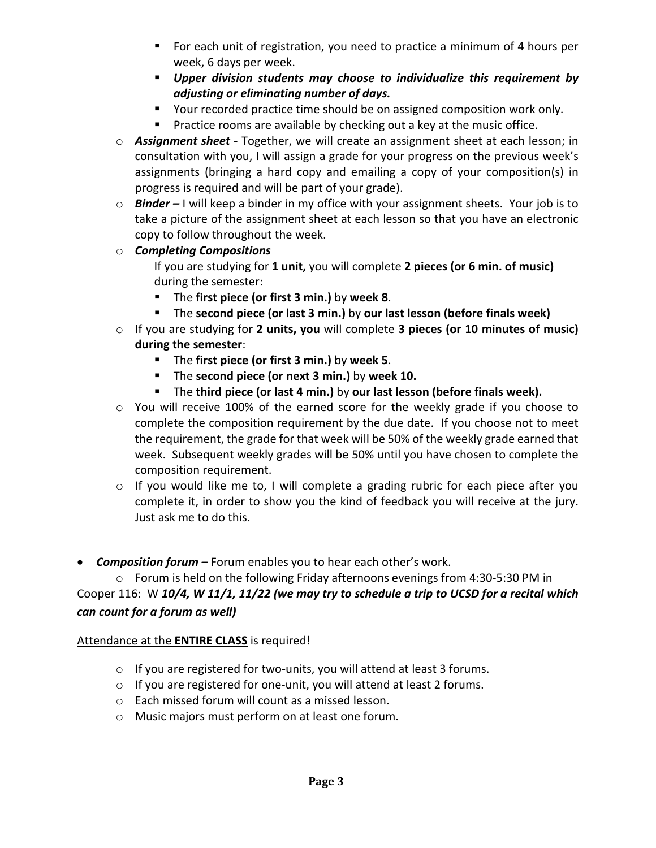- **For each unit of registration, you need to practice a minimum of 4 hours per** week, 6 days per week.
- *Upper division students may choose to individualize this requirement by adjusting or eliminating number of days.*
- Your recorded practice time should be on assigned composition work only.
- **Practice rooms are available by checking out a key at the music office.**
- o *Assignment sheet -* Together, we will create an assignment sheet at each lesson; in consultation with you, I will assign a grade for your progress on the previous week's assignments (bringing a hard copy and emailing a copy of your composition(s) in progress is required and will be part of your grade).
- o *Binder –* I will keep a binder in my office with your assignment sheets. Your job is to take a picture of the assignment sheet at each lesson so that you have an electronic copy to follow throughout the week.
- o *Completing Compositions*
	- If you are studying for **1 unit,** you will complete **2 pieces (or 6 min. of music)** during the semester:
	- The **first piece (or first 3 min.)** by **week 8**.
	- The **second piece (or last 3 min.)** by **our last lesson (before finals week)**
- o If you are studying for **2 units, you** will complete **3 pieces (or 10 minutes of music) during the semester**:
	- The **first piece (or first 3 min.)** by **week 5**.
	- The **second piece (or next 3 min.)** by **week 10.**
	- The **third piece (or last 4 min.)** by **our last lesson (before finals week).**
- o You will receive 100% of the earned score for the weekly grade if you choose to complete the composition requirement by the due date. If you choose not to meet the requirement, the grade for that week will be 50% of the weekly grade earned that week. Subsequent weekly grades will be 50% until you have chosen to complete the composition requirement.
- o If you would like me to, I will complete a grading rubric for each piece after you complete it, in order to show you the kind of feedback you will receive at the jury. Just ask me to do this.
- *Composition forum –* Forum enables you to hear each other's work.

o Forum is held on the following Friday afternoons evenings from 4:30-5:30 PM in Cooper 116: W *10/4, W 11/1, 11/22 (we may try to schedule a trip to UCSD for a recital which can count for a forum as well)*

## Attendance at the **ENTIRE CLASS** is required!

- o If you are registered for two-units, you will attend at least 3 forums.
- o If you are registered for one-unit, you will attend at least 2 forums.
- o Each missed forum will count as a missed lesson.
- o Music majors must perform on at least one forum.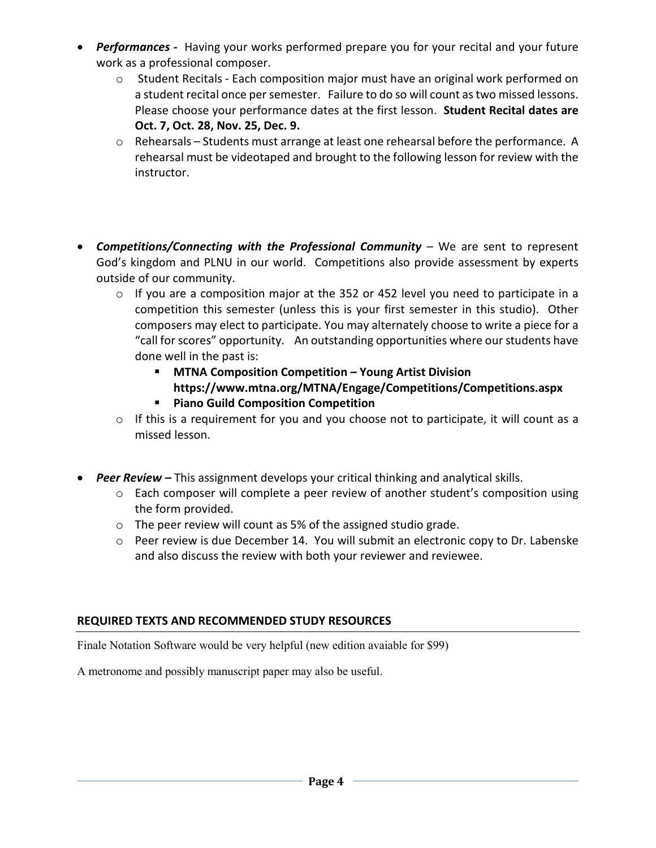- *Performances -* Having your works performed prepare you for your recital and your future work as a professional composer.
	- $\circ$  Student Recitals Each composition major must have an original work performed on a student recital once per semester. Failure to do so will count as two missed lessons. Please choose your performance dates at the first lesson. **Student Recital dates are Oct. 7, Oct. 28, Nov. 25, Dec. 9.**
	- o Rehearsals Students must arrange at least one rehearsal before the performance. A rehearsal must be videotaped and brought to the following lesson for review with the instructor.
- *Competitions/Connecting with the Professional Community* We are sent to represent God's kingdom and PLNU in our world. Competitions also provide assessment by experts outside of our community.
	- o If you are a composition major at the 352 or 452 level you need to participate in a competition this semester (unless this is your first semester in this studio). Other composers may elect to participate. You may alternately choose to write a piece for a "call for scores" opportunity. An outstanding opportunities where our students have done well in the past is:
		- **MTNA Composition Competition – Young Artist Division** 
			- **https://www.mtna.org/MTNA/Engage/Competitions/Competitions.aspx**
		- **Piano Guild Composition Competition**
	- o If this is a requirement for you and you choose not to participate, it will count as a missed lesson.
- *Peer Review –* This assignment develops your critical thinking and analytical skills.
	- o Each composer will complete a peer review of another student's composition using the form provided.
	- o The peer review will count as 5% of the assigned studio grade.
	- o Peer review is due December 14. You will submit an electronic copy to Dr. Labenske and also discuss the review with both your reviewer and reviewee.

# **REQUIRED TEXTS AND RECOMMENDED STUDY RESOURCES**

Finale Notation Software would be very helpful (new edition avaiable for \$99)

A metronome and possibly manuscript paper may also be useful.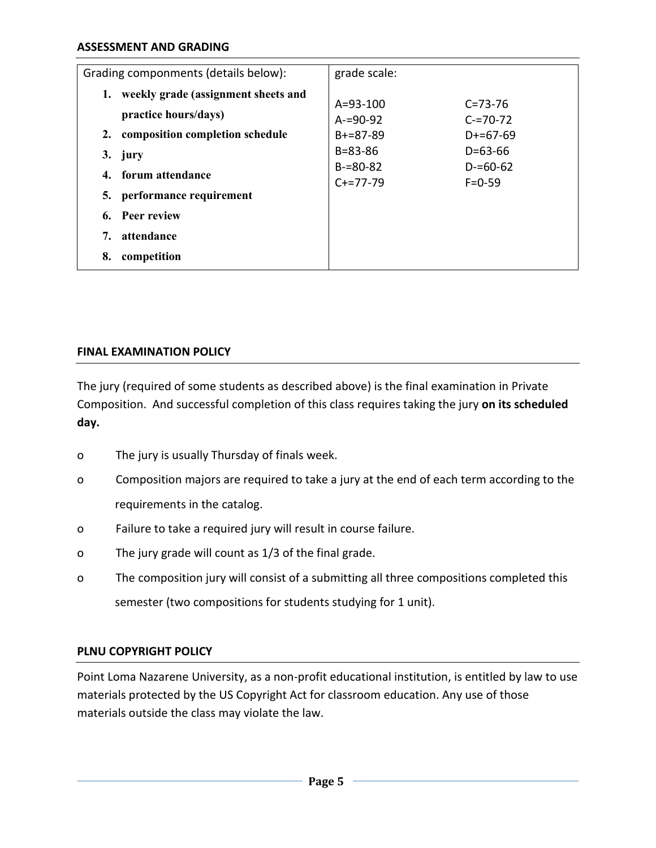| Grading componments (details below):  | grade scale:   |               |
|---------------------------------------|----------------|---------------|
| weekly grade (assignment sheets and   |                |               |
|                                       | $A = 93 - 100$ | $C = 73 - 76$ |
| practice hours/days)                  | $A = 90 - 92$  | $C = 70 - 72$ |
| composition completion schedule<br>2. | $B+=87-89$     | $D+=67-69$    |
| 3.<br>jury                            | $B = 83 - 86$  | $D = 63 - 66$ |
|                                       | $B = 80 - 82$  | $D = 60 - 62$ |
| forum attendance<br>4.                | $C+=77-79$     | $F = 0 - 59$  |
| performance requirement<br>5.         |                |               |
| <b>Peer review</b><br>6.              |                |               |
| attendance<br>7.                      |                |               |
| 8.<br>competition                     |                |               |

#### **FINAL EXAMINATION POLICY**

The jury (required of some students as described above) is the final examination in Private Composition. And successful completion of this class requires taking the jury **on its scheduled day.**

- o The jury is usually Thursday of finals week.
- o Composition majors are required to take a jury at the end of each term according to the requirements in the catalog.
- o Failure to take a required jury will result in course failure.
- o The jury grade will count as 1/3 of the final grade.
- o The composition jury will consist of a submitting all three compositions completed this semester (two compositions for students studying for 1 unit).

#### **PLNU COPYRIGHT POLICY**

Point Loma Nazarene University, as a non-profit educational institution, is entitled by law to use materials protected by the US Copyright Act for classroom education. Any use of those materials outside the class may violate the law.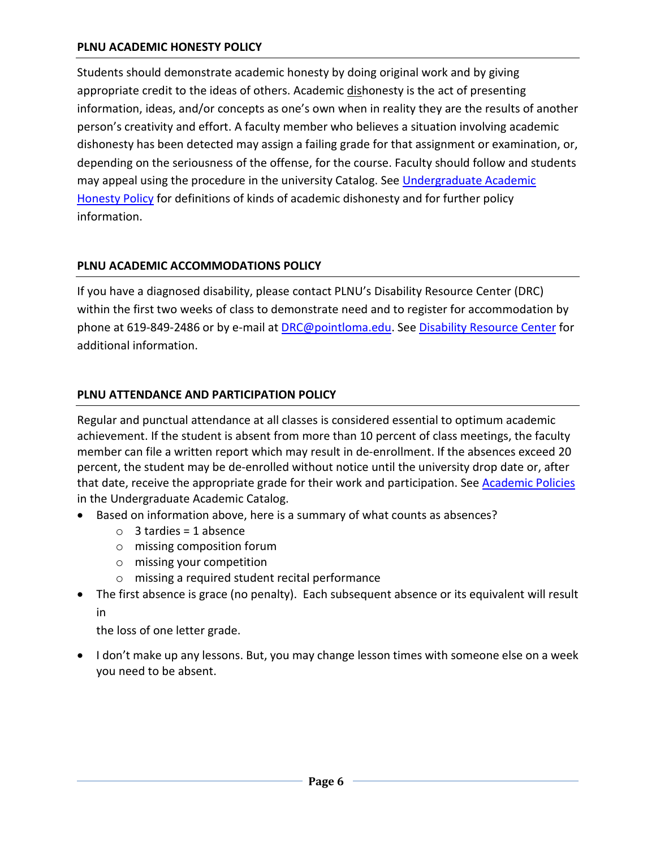#### **PLNU ACADEMIC HONESTY POLICY**

Students should demonstrate academic honesty by doing original work and by giving appropriate credit to the ideas of others. Academic dishonesty is the act of presenting information, ideas, and/or concepts as one's own when in reality they are the results of another person's creativity and effort. A faculty member who believes a situation involving academic dishonesty has been detected may assign a failing grade for that assignment or examination, or, depending on the seriousness of the offense, for the course. Faculty should follow and students may appeal using the procedure in the university Catalog. See Undergraduate Academic [Honesty Policy](https://catalog.pointloma.edu/content.php?catoid=41&navoid=2435#Academic_Honesty) for definitions of kinds of academic dishonesty and for further policy information.

### **PLNU ACADEMIC ACCOMMODATIONS POLICY**

If you have a diagnosed disability, please contact PLNU's Disability Resource Center (DRC) within the first two weeks of class to demonstrate need and to register for accommodation by phone at 619-849-2486 or by e-mail at **DRC@pointloma.edu.** See [Disability Resource Center](http://www.pointloma.edu/experience/offices/administrative-offices/academic-advising-office/disability-resource-center) for additional information.

### **PLNU ATTENDANCE AND PARTICIPATION POLICY**

Regular and punctual attendance at all classes is considered essential to optimum academic achievement. If the student is absent from more than 10 percent of class meetings, the faculty member can file a written report which may result in de-enrollment. If the absences exceed 20 percent, the student may be de-enrolled without notice until the university drop date or, after that date, receive the appropriate grade for their work and participation. See [Academic Policies](http://catalog.pointloma.edu/content.php?catoid=18&navoid=1278) in the Undergraduate Academic Catalog.

- Based on information above, here is a summary of what counts as absences?
	- $\circ$  3 tardies = 1 absence
	- o missing composition forum
	- o missing your competition
	- o missing a required student recital performance
- The first absence is grace (no penalty). Each subsequent absence or its equivalent will result in

the loss of one letter grade.

• I don't make up any lessons. But, you may change lesson times with someone else on a week you need to be absent.